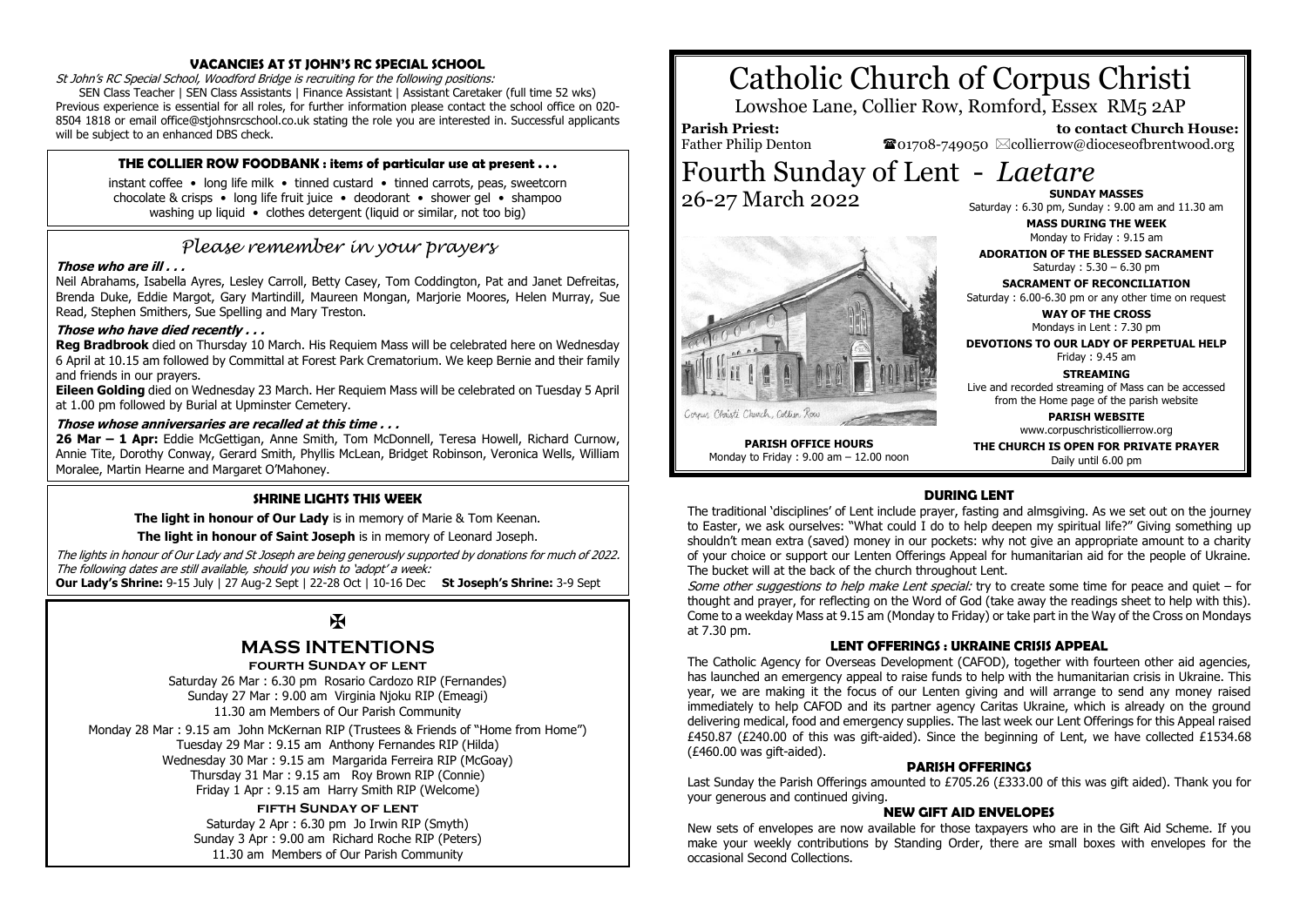#### **VACANCIES AT ST JOHN'S RC SPECIAL SCHOOL**

St John's RC Special School, Woodford Bridge is recruiting for the following positions: SEN Class Teacher | SEN Class Assistants | Finance Assistant | Assistant Caretaker (full time 52 wks) Previous experience is essential for all roles, for further information please contact the school office on 020- 8504 1818 or email office@stjohnsrcschool.co.uk stating the role you are interested in. Successful applicants will be subject to an enhanced DBS check.

#### **THE COLLIER ROW FOODBANK : items of particular use at present . . .**

instant coffee • long life milk • tinned custard • tinned carrots, peas, sweetcorn chocolate & crisps • long life fruit juice • deodorant • shower gel • shampoo washing up liquid • clothes detergent (liquid or similar, not too big)

# *Please remember in your prayers*

#### **Those who are ill . . .**

Neil Abrahams, Isabella Ayres, Lesley Carroll, Betty Casey, Tom Coddington, Pat and Janet Defreitas, Brenda Duke, Eddie Margot, Gary Martindill, Maureen Mongan, Marjorie Moores, Helen Murray, Sue Read, Stephen Smithers, Sue Spelling and Mary Treston.

#### **Those who have died recently . . .**

**Reg Bradbrook** died on Thursday 10 March. His Requiem Mass will be celebrated here on Wednesday 6 April at 10.15 am followed by Committal at Forest Park Crematorium. We keep Bernie and their family and friends in our prayers.

**Eileen Golding** died on Wednesday 23 March. Her Requiem Mass will be celebrated on Tuesday 5 April at 1.00 pm followed by Burial at Upminster Cemetery.

#### **Those whose anniversaries are recalled at this time . . .**

**26 Mar – 1 Apr:** Eddie McGettigan, Anne Smith, Tom McDonnell, Teresa Howell, Richard Curnow, Annie Tite, Dorothy Conway, Gerard Smith, Phyllis McLean, Bridget Robinson, Veronica Wells, William Moralee, Martin Hearne and Margaret O'Mahoney.

#### **SHRINE LIGHTS THIS WEEK**

**The light in honour of Our Lady** is in memory of Marie & Tom Keenan.

**The light in honour of Saint Joseph** is in memory of Leonard Joseph.

The lights in honour of Our Lady and St Joseph are being generously supported by donations for much of 2022. The following dates are still available, should you wish to 'adopt' a week: **Our Lady's Shrine:** 9-15 July | 27 Aug-2 Sept | 22-28 Oct | 10-16 Dec **St Joseph's Shrine:** 3-9 Sept

# $\mathbf F$

# **MASS INTENTIONS**

**fourth Sunday of lent**

Saturday 26 Mar : 6.30 pm Rosario Cardozo RIP (Fernandes) Sunday 27 Mar : 9.00 am Virginia Njoku RIP (Emeagi) 11.30 am Members of Our Parish Community

Monday 28 Mar : 9.15 am John McKernan RIP (Trustees & Friends of "Home from Home") Tuesday 29 Mar : 9.15 am Anthony Fernandes RIP (Hilda) Wednesday 30 Mar : 9.15 am Margarida Ferreira RIP (McGoay) Thursday 31 Mar : 9.15 am Roy Brown RIP (Connie) Friday 1 Apr : 9.15 am Harry Smith RIP (Welcome)

#### **fifth Sunday of lent**

Saturday 2 Apr : 6.30 pm Jo Irwin RIP (Smyth) Sunday 3 Apr : 9.00 am Richard Roche RIP (Peters) 11.30 am Members of Our Parish Community

# Catholic Church of Corpus Christi

Lowshoe Lane, Collier Row, Romford, Essex RM5 2AP

**Parish Priest:** Father Philip Denton

 **to contact Church House:**  $\bullet$ 01708-749050  $\boxtimes$ collierrow@dioceseofbrentwood.org

Fourth Sunday of Lent - *Laetare* 26-27 March 2022



**SUNDAY MASSES** Saturday : 6.30 pm, Sunday : 9.00 am and 11.30 am

**MASS DURING THE WEEK** Monday to Friday : 9.15 am

**ADORATION OF THE BLESSED SACRAMENT** Saturday : 5.30 – 6.30 pm

**SACRAMENT OF RECONCILIATION** Saturday : 6.00-6.30 pm or any other time on request

**WAY OF THE CROSS** Mondays in Lent : 7.30 pm

**DEVOTIONS TO OUR LADY OF PERPETUAL HELP** Friday : 9.45 am

**STREAMING** Live and recorded streaming of Mass can be accessed from the Home page of the parish website

**PARISH WEBSITE** www.corpuschristicollierrow.org

**PARISH OFFICE HOURS** Monday to Friday : 9.00 am – 12.00 noon **THE CHURCH IS OPEN FOR PRIVATE PRAYER** Daily until 6.00 pm

### **DURING LENT**

The traditional 'disciplines' of Lent include prayer, fasting and almsgiving. As we set out on the journey to Easter, we ask ourselves: "What could I do to help deepen my spiritual life?" Giving something up shouldn't mean extra (saved) money in our pockets: why not give an appropriate amount to a charity of your choice or support our Lenten Offerings Appeal for humanitarian aid for the people of Ukraine. The bucket will at the back of the church throughout Lent.

Some other suggestions to help make Lent special: try to create some time for peace and quiet – for thought and prayer, for reflecting on the Word of God (take away the readings sheet to help with this). Come to a weekday Mass at 9.15 am (Monday to Friday) or take part in the Way of the Cross on Mondays at 7.30 pm.

#### **LENT OFFERINGS : UKRAINE CRISIS APPEAL**

The Catholic Agency for Overseas Development (CAFOD), together with fourteen other aid agencies, has launched an emergency appeal to raise funds to help with the humanitarian crisis in Ukraine. This year, we are making it the focus of our Lenten giving and will arrange to send any money raised immediately to help CAFOD and its partner agency Caritas Ukraine, which is already on the ground delivering medical, food and emergency supplies. The last week our Lent Offerings for this Appeal raised £450.87 (£240.00 of this was gift-aided). Since the beginning of Lent, we have collected £1534.68 (£460.00 was gift-aided).

#### **PARISH OFFERINGS**

Last Sunday the Parish Offerings amounted to £705.26 (£333.00 of this was gift aided). Thank you for your generous and continued giving.

#### **NEW GIFT AID ENVELOPES**

New sets of envelopes are now available for those taxpayers who are in the Gift Aid Scheme. If you make your weekly contributions by Standing Order, there are small boxes with envelopes for the occasional Second Collections.